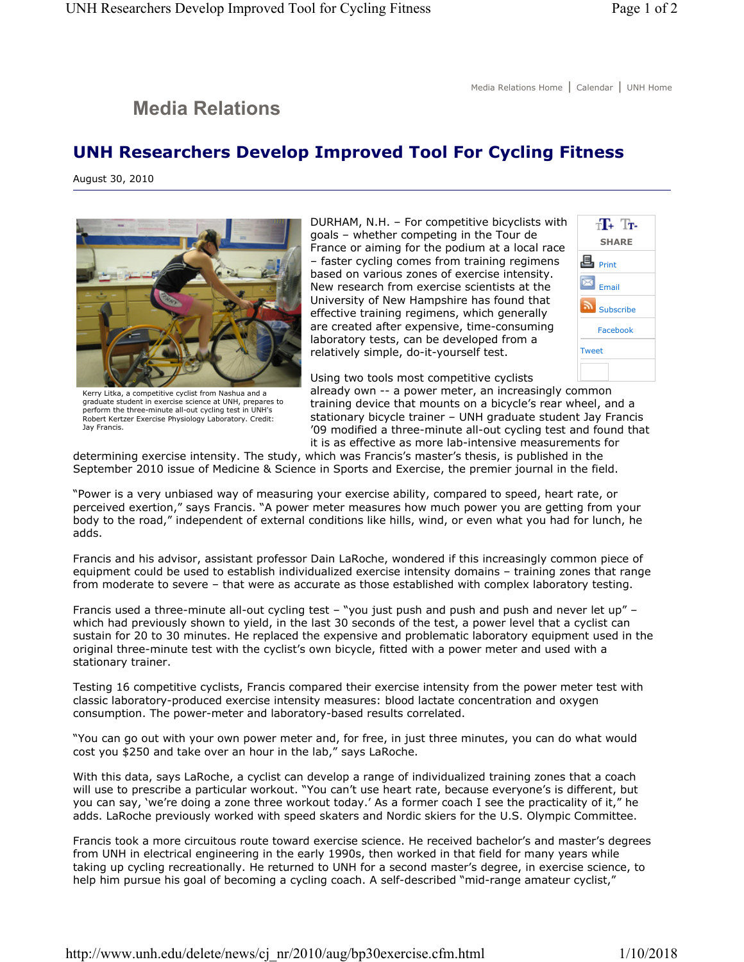## **Media Relations**

## **UNH Researchers Develop Improved Tool For Cycling Fitness**

August 30, 2010



Kerry Litka, a competitive cyclist from Nashua and a graduate student in exercise science at UNH, prepares to perform the three-minute all-out cycling test in UNH's Robert Kertzer Exercise Physiology Laboratory. Credit: Jay Francis.

DURHAM, N.H. – For competitive bicyclists with goals – whether competing in the Tour de France or aiming for the podium at a local race – faster cycling comes from training regimens based on various zones of exercise intensity. New research from exercise scientists at the University of New Hampshire has found that effective training regimens, which generally are created after expensive, time-consuming laboratory tests, can be developed from a relatively simple, do-it-yourself test.



Using two tools most competitive cyclists

already own -- a power meter, an increasingly common training device that mounts on a bicycle's rear wheel, and a stationary bicycle trainer – UNH graduate student Jay Francis '09 modified a three-minute all-out cycling test and found that it is as effective as more lab-intensive measurements for

determining exercise intensity. The study, which was Francis's master's thesis, is published in the September 2010 issue of Medicine & Science in Sports and Exercise, the premier journal in the field.

"Power is a very unbiased way of measuring your exercise ability, compared to speed, heart rate, or perceived exertion," says Francis. "A power meter measures how much power you are getting from your body to the road," independent of external conditions like hills, wind, or even what you had for lunch, he adds.

Francis and his advisor, assistant professor Dain LaRoche, wondered if this increasingly common piece of equipment could be used to establish individualized exercise intensity domains – training zones that range from moderate to severe – that were as accurate as those established with complex laboratory testing.

Francis used a three-minute all-out cycling test – "you just push and push and push and never let up" – which had previously shown to yield, in the last 30 seconds of the test, a power level that a cyclist can sustain for 20 to 30 minutes. He replaced the expensive and problematic laboratory equipment used in the original three-minute test with the cyclist's own bicycle, fitted with a power meter and used with a stationary trainer.

Testing 16 competitive cyclists, Francis compared their exercise intensity from the power meter test with classic laboratory-produced exercise intensity measures: blood lactate concentration and oxygen consumption. The power-meter and laboratory-based results correlated.

"You can go out with your own power meter and, for free, in just three minutes, you can do what would cost you \$250 and take over an hour in the lab," says LaRoche.

With this data, says LaRoche, a cyclist can develop a range of individualized training zones that a coach will use to prescribe a particular workout. "You can't use heart rate, because everyone's is different, but you can say, 'we're doing a zone three workout today.' As a former coach I see the practicality of it," he adds. LaRoche previously worked with speed skaters and Nordic skiers for the U.S. Olympic Committee.

Francis took a more circuitous route toward exercise science. He received bachelor's and master's degrees from UNH in electrical engineering in the early 1990s, then worked in that field for many years while taking up cycling recreationally. He returned to UNH for a second master's degree, in exercise science, to help him pursue his goal of becoming a cycling coach. A self-described "mid-range amateur cyclist,"